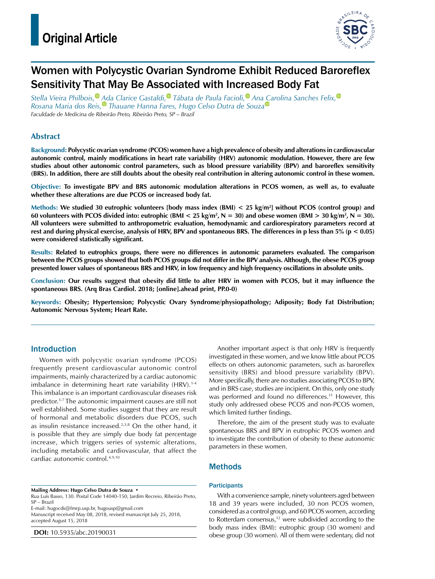

# Women with Polycystic Ovarian Syndrome Exhibit Reduced Baroreflex Sensitivity That May Be Associated with Increased Body Fat

*Stella Vieira Philbois[,](https://orcid.org/0000-0002-8276-1035) Ada Clarice Gastaldi[,](https://orcid.org/0000-0001-9845-3611) Tábata de Paula Facioli[,](https://orcid.org/0000-0002-8175-2989) An[a Ca](https://orcid.org/0000-0002-0009-0005)rolina Sanches Felix[,](https://orcid.org/0000-0002-0551-3927) Rosana Maria dos Reis[,](https://orcid.org/0000-0001-9631-4167) Thauane Hanna Fares, Hugo Celso Dutra de Souza Faculdade de Medicina de Ribeirão Preto, Ribeirão Preto, SP – Brazil*

## **Abstract**

**Background: Polycystic ovarian syndrome (PCOS) women have a high prevalence of obesity and alterations in cardiovascular autonomic control, mainly modifications in heart rate variability (HRV) autonomic modulation. However, there are few studies about other autonomic control parameters, such as blood pressure variability (BPV) and baroreflex sensitivity (BRS). In addition, there are still doubts about the obesity real contribution in altering autonomic control in these women.**

**Objective: To investigate BPV and BRS autonomic modulation alterations in PCOS women, as well as, to evaluate whether these alterations are due PCOS or increased body fat.**

**Methods: We studied 30 eutrophic volunteers [body mass index (BMI) < 25 kg/m2 ] without PCOS (control group) and**  60 volunteers with PCOS divided into: eutrophic (BMI  $<$  25 kg/m<sup>2</sup>, N = 30) and obese women (BMI  $>$  30 kg/m<sup>2</sup>, N = 30). **All volunteers were submitted to anthropometric evaluation, hemodynamic and cardiorespiratory parameters record at rest and during physical exercise, analysis of HRV, BPV and spontaneous BRS. The differences in p less than 5% (p < 0.05) were considered statistically significant.**

**Results: Related to eutrophics groups, there were no differences in autonomic parameters evaluated. The comparison between the PCOS groups showed that both PCOS groups did not differ in the BPV analysis. Although, the obese PCOS group presented lower values of spontaneous BRS and HRV, in low frequency and high frequency oscillations in absolute units.**

**Conclusion: Our results suggest that obesity did little to alter HRV in women with PCOS, but it may influence the spontaneous BRS. (Arq Bras Cardiol. 2018; [online].ahead print, PP.0-0)**

**Keywords: Obesity; Hypertension; Polycystic Ovary Syndrome/physiopathology; Adiposity; Body Fat Distribution; Autonomic Nervous System; Heart Rate.**

## Introduction

Women with polycystic ovarian syndrome (PCOS) frequently present cardiovascular autonomic control impairments, mainly characterized by a cardiac autonomic imbalance in determining heart rate variability (HRV).<sup>1-4</sup> This imbalance is an important cardiovascular diseases risk predictor.5-7 The autonomic impairment causes are still not well established. Some studies suggest that they are result of hormonal and metabolic disorders due PCOS, such as insulin resistance increased.<sup>2,3,8</sup> On the other hand, it is possible that they are simply due body fat percentage increase, which triggers series of systemic alterations, including metabolic and cardiovascular, that affect the cardiac autonomic control.4,9,10

**Mailing Address: Hugo Celso Dutra de Souza •**

Rua Luís Basso, 130. Postal Code 14040-150, Jardim Recreio, Ribeirão Preto, SP – Brazil

E-mail: [hugocds@fmrp.usp.br,](mailto:hugocds@fmrp.usp.br) [hugousp@gmail.com](mailto:hugousp@gmail.com)

Manuscript received May 08, 2018, revised manuscript July 25, 2018, accepted August 15, 2018

**DOI:** 10.5935/abc.20190031

Another important aspect is that only HRV is frequently investigated in these women, and we know little about PCOS effects on others autonomic parameters, such as baroreflex sensitivity (BRS) and blood pressure variability (BPV). More specifically, there are no studies associating PCOS to BPV, and in BRS case, studies are incipient. On this, only one study was performed and found no differences.<sup>11</sup> However, this study only addressed obese PCOS and non-PCOS women, which limited further findings.

Therefore, the aim of the present study was to evaluate spontaneous BRS and BPV in eutrophic PCOS women and to investigate the contribution of obesity to these autonomic parameters in these women.

## Methods

### **Participants**

With a convenience sample, ninety volunteers aged between 18 and 39 years were included, 30 non PCOS women, considered as a control group, and 60 PCOS women, according to Rotterdam consensus, $12$  were subdivided according to the body mass index (BMI): eutrophic group (30 women) and obese group (30 women). All of them were sedentary, did not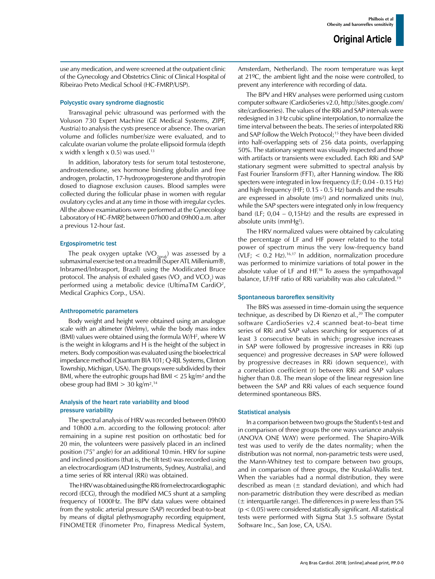use any medication, and were screened at the outpatient clinic of the Gynecology and Obstetrics Clinic of Clinical Hospital of Ribeirao Preto Medical School (HC-FMRP/USP).

#### Polycystic ovary syndrome diagnostic

Transvaginal pelvic ultrasound was performed with the Voluson 730 Expert Machine (GE Medical Systems, ZIPF, Austria) to analysis the cysts presence or absence. The ovarian volume and follicles number/size were evaluated, and to calculate ovarian volume the prolate ellipsoid formula (depth x width x length x 0.5) was used.<sup>13</sup>

In addition, laboratory tests for serum total testosterone, androstenedione, sex hormone binding globulin and free androgen, prolactin, 17-hydroxyprogesterone and thyrotropin dosed to diagnose exclusion causes. Blood samples were collected during the follicular phase in women with regular ovulatory cycles and at any time in those with irregular cycles. All the above examinations were performed at the Gynecology Laboratory of HC-FMRP, between 07h00 and 09h00 a.m. after a previous 12-hour fast.

#### Ergospirometric test

The peak oxygen uptake  $(VO_{2peak})$  was assessed by a submaximal exercise test on a treadmill (Super ATL Millenium®, Inbramed/Inbrasport, Brazil) using the Modificated Bruce protocol. The analysis of exhaled gases (VO<sub>2</sub> and VCO<sub>2</sub>) was performed using a metabolic device (UltimaTM CardiO<sup>2</sup>, Medical Graphics Corp., USA).

#### Anthropometric parameters

Body weight and height were obtained using an analogue scale with an altimeter (Welmy), while the body mass index (BMI) values were obtained using the formula W/H<sup>2</sup>, where W is the weight in kilograms and H is the height of the subject in meters. Body composition was evaluated using the bioelectrical impedance method (Quantum BIA 101; Q-RJL Systems, Clinton Township, Michigan, USA). The groups were subdivided by their BMI, where the eutrophic groups had BMI < 25 kg/m² and the obese group had BMI > 30 kg/m².14

### Analysis of the heart rate variability and blood pressure variability

The spectral analysis of HRV was recorded between 09h00 and 10h00 a.m. according to the following protocol: after remaining in a supine rest position on orthostatic bed for 20 min, the volunteers were passively placed in an inclined position (75° angle) for an additional 10min. HRV for supine and inclined positions (that is, the tilt test) was recorded using an electrocardiogram (AD Instruments, Sydney, Australia), and a time series of RR interval (RRi) was obtained.

 The HRV was obtained using the RRi from electrocardiographic record (ECG), through the modified MC5 shunt at a sampling frequency of 1000Hz. The BPV data values were obtained from the systolic arterial pressure (SAP) recorded beat-to-beat by means of digital plethysmography recording equipment, FINOMETER (Finometer Pro, Finapress Medical System, Amsterdam, Netherland). The room temperature was kept at 21ºC, the ambient light and the noise were controlled, to prevent any interference with recording of data.

The BPV and HRV analyses were performed using custom computer software (CardioSeries v2.0, http://sites.google.com/ site/cardioseries). The values of the RRi and SAP intervals were redesigned in 3 Hz cubic spline interpolation, to normalize the time interval between the beats. The series of interpolated RRi and SAP follow the Welch Protocol;<sup>15</sup> they have been divided into half-overlapping sets of 256 data points, overlapping 50%. The stationary segment was visually inspected and those with artifacts or transients were excluded. Each RRi and SAP stationary segment were submitted to spectral analysis by Fast Fourier Transform (FFT), after Hanning window. The RRi specters were integrated in low frequency (LF; 0.04 - 0.15 Hz) and high frequency (HF; 0.15 - 0.5 Hz) bands and the results are expressed in absolute (ms²) and normalized units (nu), while the SAP specters were integrated only in low frequency band (LF; 0,04 – 0,15Hz) and the results are expressed in absolute units (mmHg<sup>2</sup>).

The HRV normalized values were obtained by calculating the percentage of LF and HF power related to the total power of spectrum minus the very low-frequency band (VLF;  $<$  0.2 Hz).<sup>16,17</sup> In addition, normalization procedure was performed to minimize variations of total power in the absolute value of LF and HF.18 To assess the sympathovagal balance, LF/HF ratio of RRi variability was also calculated.19

### Spontaneous baroreflex sensitivity

The BRS was assessed in time-domain using the sequence technique, as described by Di Rienzo et al.,<sup>20</sup> The computer software CardioSeries v2.4 scanned beat-to-beat time series of RRi and SAP values searching for sequences of at least 3 consecutive beats in which; progressive increases in SAP were followed by progressive increases in RRi (up sequence) and progressive decreases in SAP were followed by progressive decreases in RRi (down sequence), with a correlation coefficient (r) between RRi and SAP values higher than 0.8. The mean slope of the linear regression line between the SAP and RRi values of each sequence found determined spontaneous BRS.

### Statistical analysis

In a comparison between two groups the Student's t-test and in comparison of three groups the one ways variance analysis (ANOVA ONE WAY) were performed. The Shapiro-Wilk test was used to verify de the dates normality; when the distribution was not normal, non-parametric tests were used, the Mann-Whitney test to compare between two groups, and in comparison of three groups, the Kruskal-Wallis test. When the variables had a normal distribution, they were described as mean  $(\pm$  standard deviation), and which had non-parametric distribution they were described as median  $(\pm$  interquartile range). The differences in p were less than 5%  $(p < 0.05)$  were considered statistically significant. All statistical tests were performed with Sigma Stat 3.5 software (Systat Software Inc., San Jose, CA, USA).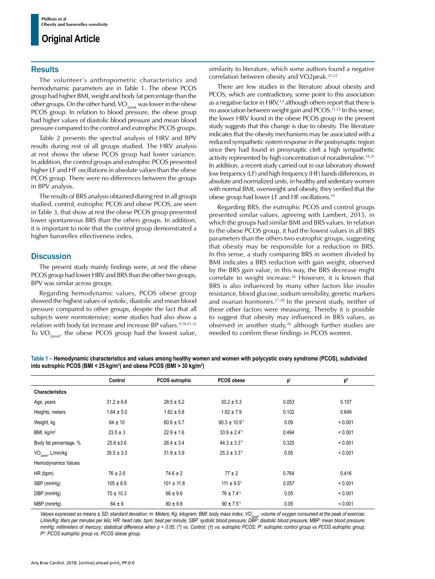## **Original Article**

## **Results**

The volunteer's anthropometric characteristics and hemodynamic parameters are in Table 1. The obese PCOS group had higher BMI, weight and body fat percentage than the other groups. On the other hand,  $VO_{2peak}$  was lower in the obese PCOS group. In relation to blood pressure, the obese group had higher values of diastolic blood pressure and mean blood pressure compared to the control and eutrophic PCOS groups.

Table 2 presents the spectral analysis of HRV and BPV results during rest of all groups studied. The HRV analysis at rest shows the obese PCOS group had lower variance. In addition, the control groups and eutrophic PCOS presented higher LF and HF oscillations in absolute values than the obese PCOS group. There were no differences between the groups in BPV analysis.

The results of BRS analysis obtained during rest in all groups studied, control, eutrophic PCOS and obese PCOS, are seen in Table 3, that show at rest the obese PCOS group presented lower spontaneous BRS than the others groups. In addition, it is important to note that the control group demonstrated a higher baroreflex effectiveness index.

## **Discussion**

The present study mainly findings were, at rest the obese PCOS group had lower HRV and BRS than the other two groups, BPV was similar across groups.

Regarding hemodynamic values, PCOS obese group showed the highest values of systolic, diastolic and mean blood pressure compared to other groups, despite the fact that all subjects were normotensive; some studies had also show a relation with body fat increase and increase BP values.<sup>9,10,21,22</sup> To  $VO_{2*post}*$  the obese PCOS group had the lowest value,

similarity to literature, which some authors found a negative correlation between obesity and VO2peak.21,22

There are few studies in the literature about obesity and PCOS, which are contradictory, some point to this association as a negative factor in  $HRV<sub>1</sub><sup>3,4</sup>$  although others report that there is no association between weight gain and PCOS.<sup>11,23</sup> In this sense, the lower HRV found in the obese PCOS group in the present study suggests that this change is due to obesity. The literature indicates that the obesity mechanisms may be associated with a reduced sympathetic system response in the postsynaptic region since they had found in presynaptic cleft a high sympathetic activity represented by high concentration of noradrenaline.<sup>24,25</sup> In addition, a recent study carried out in our laboratory showed low frequency (LF) and high frequency (HF) bands differences, in absolute and normalized units, in healthy and sedentary women with normal BMI, overweight and obesity, they verified that the obese group had lower LF and HF oscillations.10

Regarding BRS, the eutrophic PCOS and control groups presented similar values, agreeing with Lambert, 2015, in which the groups had similar BMI and BRS values. In relation to the obese PCOS group, it had the lowest values in all BRS parameters than the others two eutrophic groups, suggesting that obesity may be responsible for a reduction in BRS. In this sense, a study comparing BRS in women divided by BMI indicates a BRS reduction with gain weight, observed by the BRS gain value, in this way, the BRS decrease might correlate to weight increase.<sup>26</sup> However, it is known that BRS is also influenced by many other factors like insulin resistance, blood glucose, sodium sensibility, genetic markers and ovarian hormones.<sup>27,28</sup> In the present study, neither of these other factors were measuring. Thereby it is possible to suggest that obesity may influenced in BRS values, as observed in another study, $26$  although further studies are needed to confirm these findings in PCOS women.

**Table 1 – Hemodynamic characteristics and values among healthy women and women with polycystic ovary syndrome (PCOS), subdivided into eutrophic PCOS (BMI < 25 kg/m2 ) and obese PCOS (BMI > 30 kg/m2 )**

|                                | Control        | <b>PCOS eutrophic</b> | PCOS obese                   | p     | p"      |
|--------------------------------|----------------|-----------------------|------------------------------|-------|---------|
| <b>Characteristics</b>         |                |                       |                              |       |         |
| Age, years                     | $31.2 \pm 6.6$ | $28.5 \pm 5.2$        | $30.2 \pm 5.3$               | 0.053 | 0.107   |
| Heights, meters                | $1.64 \pm 5.0$ | $1.62 \pm 5.8$        | $1.62 \pm 7.9$               | 0.102 | 0.649   |
| Weight, kg                     | $64 \pm 10$    | $60.6 \pm 5.7$        | $90.3 \pm 10.9$ <sup>*</sup> | 0.09  | < 0.001 |
| BMI, $kg/m2$                   | $23.5 \pm 3$   | $22.9 \pm 1.6$        | $33.9 \pm 2.4$ <sup>+</sup>  | 0.494 | < 0.001 |
| Body fat percentage, %         | $25.6 \pm 3.6$ | $26.4 \pm 3.4$        | $44.3 \pm 3.3$ <sup>++</sup> | 0.325 | < 0.001 |
| VO <sub>2peak</sub> , L/min/kg | $35.5 \pm 3.3$ | $31.9 \pm 3.9$        | $25.3 \pm 3.3$ <sup>+1</sup> | 0.05  | < 0.001 |
| Hemodynamics Values            |                |                       |                              |       |         |
| HR (bpm)                       | $76 \pm 2.6$   | $74.6 \pm 2$          | $77 \pm 2$                   | 0.764 | 0.416   |
| SBP (mmHg)                     | $105 \pm 8.9$  | $101 \pm 11.8$        | $111 \pm 9.5$ <sup>t</sup>   | 0.057 | < 0.001 |
| DBP (mmHg)                     | $70 \pm 10.3$  | $66 \pm 9.6$          | $76 \pm 7.4$ <sup>*†</sup>   | 0.05  | < 0.001 |
| MBP (mmHq)                     | $84 \pm 9$     | $80 \pm 9.8$          | $90 \pm 7.5$ <sup>*†</sup>   | 0.05  | < 0.001 |

Values expressed as means ± SD: standard deviation; m: Meters; Kg: kilogram; BMI: body mass index; VO<sub>2peak</sub>: volume of oxygen consumed at the peak of exercise;<br>L/min/Kg: liters per minutes per kilo; HR: heart rate; bpm: b *mmHg: millimeters of mercury; statistical difference when p < 0.05; (\*) vs. Control; (†) vs. eutrophic PCOS; P<sup>Ι</sup> : eutrophic control group vs PCOS eutrophic group; PΙΙ: PCOS eutrophic group vs. PCOS obese group.*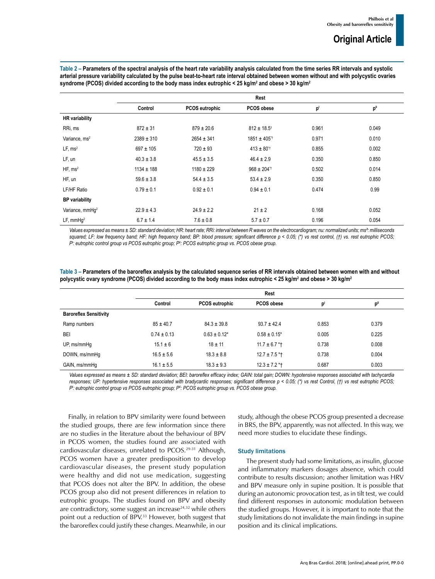**Table 2 – Parameters of the spectral analysis of the heart rate variability analysis calculated from the time series RR intervals and systolic arterial pressure variability calculated by the pulse beat-to-heart rate interval obtained between women without and with polycystic ovaries syndrome (PCOS) divided according to the body mass index eutrophic < 25 kg/m2 and obese > 30 kg/m2**

|                             | Rest           |                |                             |       |                 |
|-----------------------------|----------------|----------------|-----------------------------|-------|-----------------|
|                             | Control        | PCOS eutrophic | PCOS obese                  | p     | p <sup>II</sup> |
| <b>HR</b> variability       |                |                |                             |       |                 |
| RRi, ms                     | $872 \pm 31$   | $879 \pm 20.6$ | $812 \pm 18.5$ <sup>†</sup> | 0.961 | 0.049           |
| Variance, ms <sup>2</sup>   | $2389 \pm 310$ | $2654 \pm 341$ | 1851 ± 405 <sup>*†</sup>    | 0.971 | 0.010           |
| LF, ms <sup>2</sup>         | $697 \pm 105$  | $720 \pm 93$   | $413 \pm 80$ <sup>*†</sup>  | 0.855 | 0.002           |
| LF, un                      | $40.3 \pm 3.8$ | $45.5 \pm 3.5$ | $46.4 \pm 2.9$              | 0.350 | 0.850           |
| HF, ms <sup>2</sup>         | $1134 \pm 188$ | $1180 \pm 229$ | $968 \pm 204$ <sup>*†</sup> | 0.502 | 0.014           |
| HF, un                      | $59.6 \pm 3.8$ | $54.4 \pm 3.5$ | $53.4 \pm 2.9$              | 0.350 | 0.850           |
| LF/HF Ratio                 | $0.79 \pm 0.1$ | $0.92 \pm 0.1$ | $0.94 \pm 0.1$              | 0.474 | 0.99            |
| <b>BP</b> variability       |                |                |                             |       |                 |
| Variance, mmHg <sup>2</sup> | $22.9 \pm 4.3$ | $24.9 \pm 2.2$ | $21 \pm 2$                  | 0.168 | 0.052           |
| LF, mmHq <sup>2</sup>       | $6.7 \pm 1.4$  | $7.6 \pm 0.8$  | $5.7 \pm 0.7$               | 0.196 | 0.054           |

*Values expressed as means ± SD: standard deviation; HR: heart rate; RRi: interval between R waves on the electrocardiogram; nu: normalized units; ms²: milliseconds squared; LF: low frequency band; HF: high frequency band; BP: blood pressure; significant difference p < 0.05; (\*) vs rest control, (†) vs. rest eutrophic PCOS; PΙ : eutrophic control group vs PCOS eutrophic group; PΙΙ: PCOS eutrophic group vs. PCOS obese group.*

|                                                                                                                                             | Table 3 – Parameters of the baroreflex analysis by the calculated sequence series of RR intervals obtained between women with and without |
|---------------------------------------------------------------------------------------------------------------------------------------------|-------------------------------------------------------------------------------------------------------------------------------------------|
| polycystic ovary syndrome (PCOS) divided according to the body mass index eutrophic < 25 kg/m <sup>2</sup> and obese > 30 kg/m <sup>2</sup> |                                                                                                                                           |

|                               | Rest            |                       |                              |       |       |
|-------------------------------|-----------------|-----------------------|------------------------------|-------|-------|
|                               | Control         | <b>PCOS eutrophic</b> | PCOS obese                   | p'    | p"    |
| <b>Baroreflex Sensitivity</b> |                 |                       |                              |       |       |
| Ramp numbers                  | $85 \pm 40.7$   | $84.3 \pm 39.8$       | $93.7 \pm 42.4$              | 0.853 | 0.379 |
| <b>BEI</b>                    | $0.74 \pm 0.13$ | $0.63 \pm 0.12^*$     | $0.58 \pm 0.15$ <sup>*</sup> | 0.005 | 0.225 |
| UP, ms/mmHq                   | $15.1 \pm 6$    | $18 \pm 11$           | $11.7 \pm 6.7$ *†            | 0.738 | 0.008 |
| DOWN, ms/mmHq                 | $16.5 \pm 5.6$  | $18.3 \pm 8.8$        | $12.7 \pm 7.5$ *†            | 0.738 | 0.004 |
| GAIN, ms/mmHq                 | $16.1 \pm 5.5$  | $18.3 \pm 9.3$        | $12.3 \pm 7.2$ * †           | 0.687 | 0.003 |

*Values expressed as means ± SD: standard deviation; BEI: baroreflex efficacy index; GAIN: total gain; DOWN: hypotensive responses associated with tachycardia responses; UP: hypertensive responses associated with bradycardic responses; significant difference p < 0.05; (\*) vs rest Control, (†) vs rest eutrophic PCOS; PΙ : eutrophic control group vs PCOS eutrophic group; PΙΙ: PCOS eutrophic group vs. PCOS obese group.*

Finally, in relation to BPV similarity were found between the studied groups, there are few information since there are no studies in the literature about the behaviour of BPV in PCOS women, the studies found are associated with cardiovascular diseases, unrelated to PCOS.29-31 Although, PCOS women have a greater predisposition to develop cardiovascular diseases, the present study population were healthy and did not use medication, suggesting that PCOS does not alter the BPV. In addition, the obese PCOS group also did not present differences in relation to eutrophic groups. The studies found on BPV and obesity are contradictory, some suggest an increase<sup>24,32</sup> while others point out a reduction of BPV.<sup>33</sup> However, both suggest that the baroreflex could justify these changes. Meanwhile, in our study, although the obese PCOS group presented a decrease in BRS, the BPV, apparently, was not affected. In this way, we need more studies to elucidate these findings.

### Study limitations

The present study had some limitations, as insulin, glucose and inflammatory markers dosages absence, which could contribute to results discussion; another limitation was HRV and BPV measure only in supine position. It is possible that during an autonomic provocation test, as in tilt test, we could find different responses in autonomic modulation between the studied groups. However, it is important to note that the study limitations do not invalidate the main findings in supine position and its clinical implications.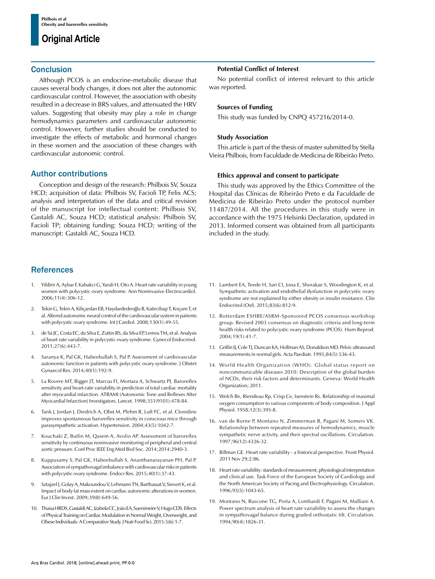## **Original Article**

## **Conclusion**

Although PCOS is an endocrine-metabolic disease that causes several body changes, it does not alter the autonomic cardiovascular control. However, the association with obesity resulted in a decrease in BRS values, and attenuated the HRV values. Suggesting that obesity may play a role in change hemodynamics parameters and cardiovascular autonomic control. However, further studies should be conducted to investigate the effects of metabolic and hormonal changes in these women and the association of these changes with cardiovascular autonomic control.

## Author contributions

Conception and design of the research: Philbois SV, Souza HCD; acquisition of data: Philbois SV, Facioli TP, Felix ACS; analysis and interpretation of the data and critical revision of the manuscript for intellectual content: Philbois SV, Gastaldi AC, Souza HCD; statistical analysis: Philbois SV, Facioli TP; obtaining funding: Souza HCD; writing of the manuscript: Gastaldi AC, Souza HCD.

## **References**

- 1. Yildirir A, Aybar F, Kabakci G, Yarali H, Oto A. Heart rate variability in young women with polycystic ovary syndrome. Ann Noninvasive Electrocardiol. 2006;11(4):306-12.
- 2. Tekin G, Tekin A, Kiliçarslan EB, Haydardedeoğlu B, Katircibaşi T, Koçum T, et al. Altered autonomic neural control of the cardiovascular system in patients with polycystic ovary syndrome. Int J Cardiol. 2008;130(1):49-55.
- 3. de Sá JC, Costa EC, da Silva E, Zuttin RS, da Silva EP, Lemos TM, et al. Analysis of heart rate variability in polycystic ovary syndrome. Gynecol Endocrinol. 2011;27(6):443-7.
- 4. Saranya K, Pal GK, Habeebullah S, Pal P. Assessment of cardiovascular autonomic function in patients with polycystic ovary syndrome. J Obstet Gynaecol Res. 2014;40(1):192-9.
- 5. La Rovere MT, Bigger JT, Marcus FI, Mortara A, Schwartz PJ. Baroreflex sensitivity and heart-rate variability in prediction of total cardiac mortality after myocardial infarction. ATRAMI (Autonomic Tone and Reflexes After Myocardial Infarction) Investigators. Lancet. 1998;351(9101):478-84.
- 6. Tank J, Jordan J, Diedrich A, Obst M, Plehm R, Luft FC, et al. Clonidine improves spontaneous baroreflex sensitivity in conscious mice through parasympathetic activation. Hypertension. 2004;43(5):1042-7.
- 7. Kouchaki Z, Butlin M, Qasem A, Avolio AP. Assessment of baroreflex sensitivity by continuous noninvasive monitoring of peripheral and central aortic pressure. Conf Proc IEEE Eng Med Biol Soc. 2014;2014:2940-3.
- 8. Kuppusamy S, Pal GK, Habeebullah S, Ananthanarayanan PH, Pal P. Association of sympathovagal imbalance with cardiovascular risks in patients with polycystic ovary syndrome. Endocr Res. 2015;40(1):37-43.
- Sztajzel J, Golay A, Makoundou V, Lehmann TN, Barthassat V, Sievert K, et al. Impact of body fat mass extent on cardiac autonomic alterations in women. Eur J Clin Invest. 2009;39(8):649-56.
- 10. Thaisa HRDS, Gastaldi AC, Izabela CC, João EA, Suenimeire V, Hugo CDS. Effects of Physical Training on Cardiac Modulation in Normal Weight, Overweight, and Obese Individuals: A Comparative Study. J Nutr Food Sci. 2015:5(6):1-7.

### **Potential Conflict of Interest**

No potential conflict of interest relevant to this article was reported.

## **Sources of Funding**

This study was funded by CNPQ 457216/2014-0.

### **Study Association**

This article is part of the thesis of master submitted by Stella Vieira Philbois, from Faculdade de Medicina de Ribeirão Preto.

## **Ethics approval and consent to participate**

This study was approved by the Ethics Committee of the Hospital das Clínicas de Ribeirão Preto e da Faculdade de Medicina de Ribeirão Preto under the protocol number 11487/2014. All the procedures in this study were in accordance with the 1975 Helsinki Declaration, updated in 2013. Informed consent was obtained from all participants included in the study.

- 11. Lambert EA, Teede H, Sari CI, Jona E, Shorakae S, Woodington K, et al. Sympathetic activation and endothelial dysfunction in polycystic ovary syndrome are not explained by either obesity or insulin resistance. Clin Endocrinol (Oxf). 2015;83(6):812-9.
- 12. Rotterdam ESHRE/ASRM-Sponsored PCOS consensus workshop group. Revised 2003 consensus on diagnostic criteria and long-term health risks related to polycystic ovary syndrome (PCOS). Hum Reprod. 2004;19(1):41-7.
- 13. Griffin IJ, Cole TJ, Duncan KA, Hollman AS, Donaldson MD. Pelvic ultrasound measurements in normal girls. Acta Paediatr. 1995;84(5):536-43.
- 14. World Health Organization (WHO). Global status report on noncommunicable diseases 2010: Description of the global burden of NCDs, their risk factors and determinants. Geneva: World Health Organization; 2011.
- 15. Welch Be, Riendeau Rp, Crisp Ce, Isenstein Rs. Relationship of maximal oxygen consumption to various components of body composition. J Appl Physiol. 1958;12(3):395-8.
- 16. van de Borne P, Montano N, Zimmerman B, Pagani M, Somers VK. Relationship between repeated measures of hemodynamics, muscle sympathetic nerve activity, and their spectral oscillations. Circulation. 1997;96(12):4326-32.
- 17. Billman GE. Heart rate variability a historical perspective. Front Physiol. 2011 Nov 29;2:86.
- 18. Heart rate variability: standards of measurement, physiological interpretation and clinical use. Task Force of the European Society of Cardiology and the North American Society of Pacing and Electrophysiology. Circulation. 1996;93(5):1043-65.
- 19. Montano N, Ruscone TG, Porta A, Lombardi F, Pagani M, Malliani A. Power spectrum analysis of heart rate variability to assess the changes in sympathovagal balance during graded orthostatic tilt. Circulation. 1994;90(4):1826-31.